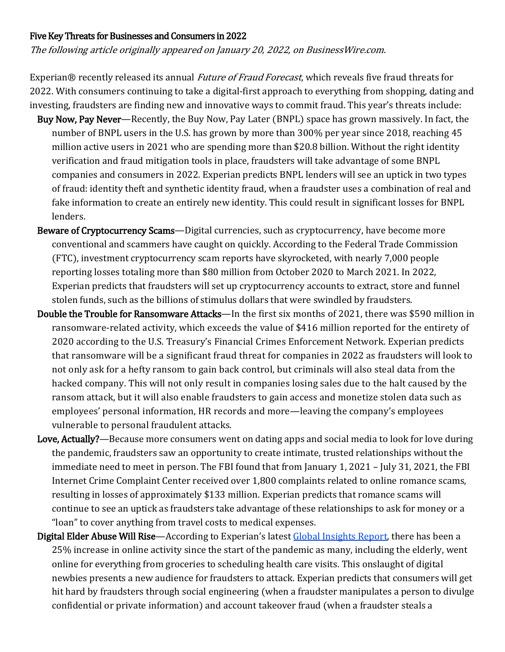## Five Key Threats for Businesses and Consumers in 2022

The following article originally appeared on January 20, 2022, on BusinessWire.com.

Experian® recently released its annual *Future of Fraud Forecast*, which reveals five fraud threats for 2022. With consumers continuing to take a digital-first approach to everything from shopping, dating and investing, fraudsters are finding new and innovative ways to commit fraud. This year's threats include:

- Buy Now, Pay Never—Recently, the Buy Now, Pay Later (BNPL) space has grown massively. In fact, the number of BNPL users in the U.S. has grown by more than 300% per year since 2018, reaching 45 million active users in 2021 who are spending more than \$20.8 billion. Without the right identity verification and fraud mitigation tools in place, fraudsters will take advantage of some BNPL companies and consumers in 2022. Experian predicts BNPL lenders will see an uptick in two types of fraud: identity theft and synthetic identity fraud, when a fraudster uses a combination of real and fake information to create an entirely new identity. This could result in significant losses for BNPL lenders.
- Beware of Cryptocurrency Scams-Digital currencies, such as cryptocurrency, have become more conventional and scammers have caught on quickly. According to the Federal Trade Commission (FTC), investment cryptocurrency scam reports have skyrocketed, with nearly 7,000 people reporting losses totaling more than \$80 million from October 2020 to March 2021. In 2022, Experian predicts that fraudsters will set up cryptocurrency accounts to extract, store and funnel stolen funds, such as the billions of stimulus dollars that were swindled by fraudsters.
- Double the Trouble for Ransomware Attacks—In the first six months of 2021, there was \$590 million in ransomware-related activity, which exceeds the value of \$416 million reported for the entirety of 2020 according to the U.S. Treasury's Financial Crimes Enforcement Network. Experian predicts that ransomware will be a significant fraud threat for companies in 2022 as fraudsters will look to not only ask for a hefty ransom to gain back control, but criminals will also steal data from the hacked company. This will not only result in companies losing sales due to the halt caused by the ransom attack, but it will also enable fraudsters to gain access and monetize stolen data such as employees' personal information, HR records and more—leaving the company's employees vulnerable to personal fraudulent attacks.
- Love, Actually?—Because more consumers went on dating apps and social media to look for love during the pandemic, fraudsters saw an opportunity to create intimate, trusted relationships without the immediate need to meet in person. The FBI found that from January 1, 2021 – July 31, 2021, the FBI Internet Crime Complaint Center received over 1,800 complaints related to online romance scams, resulting in losses of approximately \$133 million. Experian predicts that romance scams will continue to see an uptick as fraudsters take advantage of these relationships to ask for money or a "loan" to cover anything from travel costs to medical expenses.
- Digital Elder Abuse Will Rise—According to Experian's latest Global Insights Report, there has been a 25% increase in online activity since the start of the pandemic as many, including the elderly, went online for everything from groceries to scheduling health care visits. This onslaught of digital newbies presents a new audience for fraudsters to attack. Experian predicts that consumers will get hit hard by fraudsters through social engineering (when a fraudster manipulates a person to divulge confidential or private information) and account takeover fraud (when a fraudster steals a